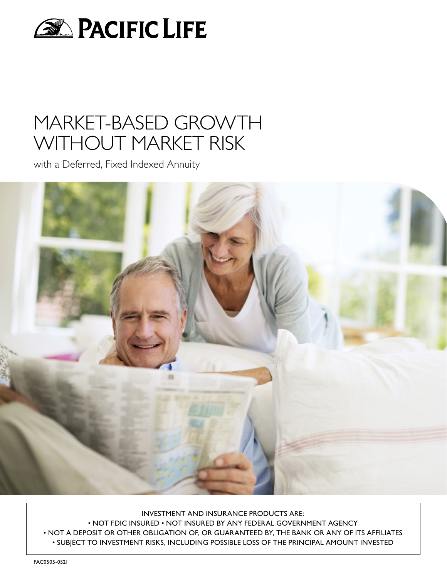

## MARKET-BASED GROWTH WITHOUT MARKET RISK

with a Deferred, Fixed Indexed Annuity



INVESTMENT AND INSURANCE PRODUCTS ARE: • NOT FDIC INSURED • NOT INSURED BY ANY FEDERAL GOVERNMENT AGENCY

• NOT A DEPOSIT OR OTHER OBLIGATION OF, OR GUARANTEED BY, THE BANK OR ANY OF ITS AFFILIATES • SUBJECT TO INVESTMENT RISKS, INCLUDING POSSIBLE LOSS OF THE PRINCIPAL AMOUNT INVESTED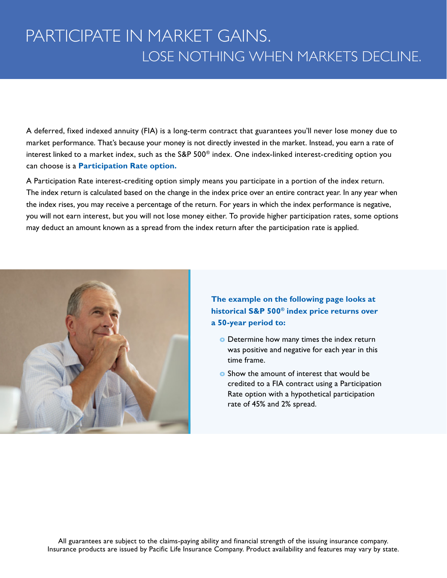## PARTICIPATE IN MARKET GAINS. LOSE NOTHING WHEN MARKETS DECLINE.

A deferred, fixed indexed annuity (FIA) is a long-term contract that guarantees you'll never lose money due to market performance. That's because your money is not directly invested in the market. Instead, you earn a rate of interest linked to a market index, such as the S&P 500® index. One index-linked interest-crediting option you can choose is a **Participation Rate option.**

A Participation Rate interest-crediting option simply means you participate in a portion of the index return. The index return is calculated based on the change in the index price over an entire contract year. In any year when the index rises, you may receive a percentage of the return. For years in which the index performance is negative, you will not earn interest, but you will not lose money either. To provide higher participation rates, some options may deduct an amount known as a spread from the index return after the participation rate is applied.



**The example on the following page looks at historical S&P 500® index price returns over a 50-year period to:**

- **o** Determine how many times the index return was positive and negative for each year in this time frame.
- **o** Show the amount of interest that would be credited to a FIA contract using a Participation Rate option with a hypothetical participation rate of 45% and 2% spread.

All guarantees are subject to the claims-paying ability and financial strength of the issuing insurance company. Insurance products are issued by Pacific Life Insurance Company. Product availability and features may vary by state.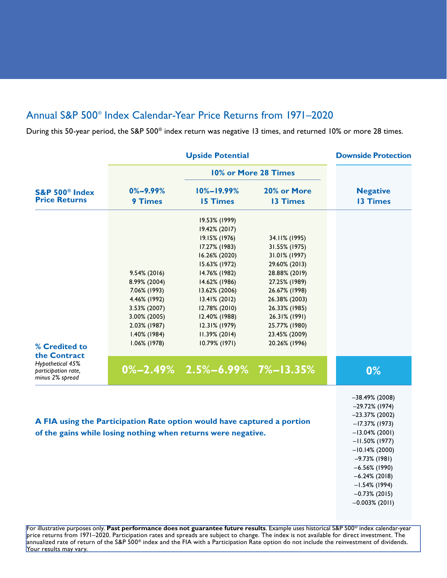## Annual S&P 500® Index Calendar-Year Price Returns from 1971–2020

During this 50-year period, the S&P 500® index return was negative 13 times, and returned 10% or more 28 times.

| <b>Upside Potential</b>                                                                                                                  |                |                                    |                      | <b>Downside Protection</b>                                                                                                                                                              |
|------------------------------------------------------------------------------------------------------------------------------------------|----------------|------------------------------------|----------------------|-----------------------------------------------------------------------------------------------------------------------------------------------------------------------------------------|
| <b>S&amp;P 500<sup>®</sup> Index</b><br><b>Price Returns</b>                                                                             |                |                                    | 10% or More 28 Times | <b>Negative</b>                                                                                                                                                                         |
|                                                                                                                                          | $0\% - 9.99\%$ | $10\% - 19.99\%$                   | 20% or More          |                                                                                                                                                                                         |
|                                                                                                                                          | 9 Times        | <b>15 Times</b>                    | 13 Times             | <b>13 Times</b>                                                                                                                                                                         |
|                                                                                                                                          |                | 19.53% (1999)                      |                      |                                                                                                                                                                                         |
|                                                                                                                                          |                | 19.42% (2017)                      |                      |                                                                                                                                                                                         |
|                                                                                                                                          |                | 19.15% (1976)                      | 34.11% (1995)        |                                                                                                                                                                                         |
|                                                                                                                                          |                | 17.27% (1983)                      | 31.55% (1975)        |                                                                                                                                                                                         |
|                                                                                                                                          |                | 16.26% (2020)                      | 31.01% (1997)        |                                                                                                                                                                                         |
|                                                                                                                                          |                | 15.63% (1972)                      | 29.60% (2013)        |                                                                                                                                                                                         |
|                                                                                                                                          | 9.54% (2016)   | 14.76% (1982)                      | 28.88% (2019)        |                                                                                                                                                                                         |
|                                                                                                                                          | 8.99% (2004)   | 14.62% (1986)                      | 27.25% (1989)        |                                                                                                                                                                                         |
|                                                                                                                                          | 7.06% (1993)   | 13.62% (2006)                      | 26.67% (1998)        |                                                                                                                                                                                         |
|                                                                                                                                          | 4.46% (1992)   | 13.41% (2012)                      | 26.38% (2003)        |                                                                                                                                                                                         |
|                                                                                                                                          | 3.53% (2007)   | 12.78% (2010)                      | 26.33% (1985)        |                                                                                                                                                                                         |
|                                                                                                                                          | 3.00% (2005)   | 12.40% (1988)                      | 26.31% (1991)        |                                                                                                                                                                                         |
|                                                                                                                                          | 2.03% (1987)   | 12.31% (1979)                      | 25.77% (1980)        |                                                                                                                                                                                         |
|                                                                                                                                          | 1.40% (1984)   | 11.39% (2014)                      | 23.45% (2009)        |                                                                                                                                                                                         |
|                                                                                                                                          | 1.06% (1978)   | 10.79% (1971)                      | 20.26% (1996)        |                                                                                                                                                                                         |
| % Credited to                                                                                                                            |                |                                    |                      |                                                                                                                                                                                         |
| the Contract                                                                                                                             |                |                                    |                      |                                                                                                                                                                                         |
| Hypothetical 45%<br>participation rate,<br>minus 2% spread                                                                               |                | $0\% -2.49\%$ 2.5%-6.99% 7%-13.35% |                      | 0%                                                                                                                                                                                      |
| A FIA using the Participation Rate option would have captured a portion<br>of the gains while losing nothing when returns were negative. |                |                                    |                      | $-38.49\%$ (2008)<br>$-29.72\%$ (1974)<br>$-23.37\%$ (2002)<br>$-17.37\%$ (1973)<br>$-13.04\%$ (2001)<br>$-11.50\%$ (1977)<br>$-10.14\%$ (2000)<br>$-9.73\%$ (1981)<br>$-6.56\%$ (1990) |
|                                                                                                                                          |                |                                    |                      | $-6.24\%$ (2018)<br>$-1.54\%$ (1994)<br>$-0.73\%$ (2015)<br>$-0.003\%$ (2011)                                                                                                           |

For illustrative purposes only. **Past performance does not guarantee future results**. Example uses historical S&P 500® index calendar-year price returns from 1971–2020. Participation rates and spreads are subject to change. The index is not available for direct investment. The annualized rate of return of the S&P 500® index and the FIA with a Participation Rate option do not include the reinvestment of dividends. Your results may vary.